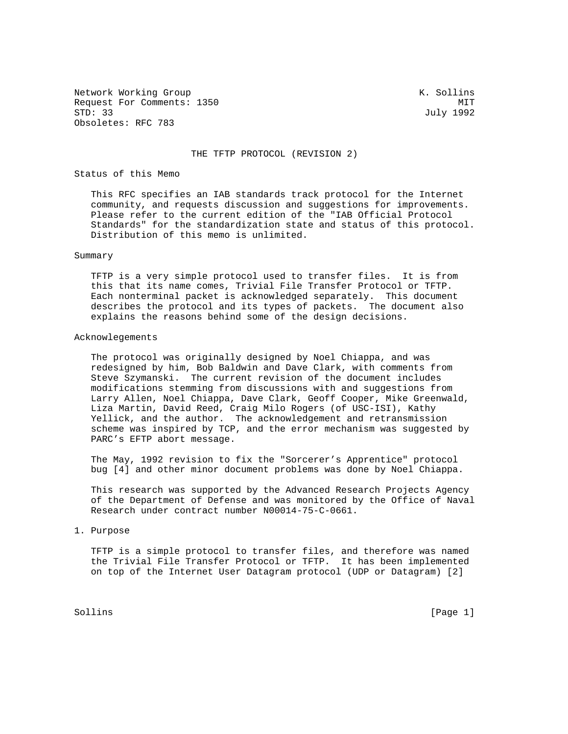Network Working Group Network Working Group Network Working Group Request For Comments: 1350 MIT<br>
STD: 33 July 1992 Obsoletes: RFC 783

July 1992

## THE TFTP PROTOCOL (REVISION 2)

## Status of this Memo

 This RFC specifies an IAB standards track protocol for the Internet community, and requests discussion and suggestions for improvements. Please refer to the current edition of the "IAB Official Protocol Standards" for the standardization state and status of this protocol. Distribution of this memo is unlimited.

#### Summary

 TFTP is a very simple protocol used to transfer files. It is from this that its name comes, Trivial File Transfer Protocol or TFTP. Each nonterminal packet is acknowledged separately. This document describes the protocol and its types of packets. The document also explains the reasons behind some of the design decisions.

#### Acknowlegements

 The protocol was originally designed by Noel Chiappa, and was redesigned by him, Bob Baldwin and Dave Clark, with comments from Steve Szymanski. The current revision of the document includes modifications stemming from discussions with and suggestions from Larry Allen, Noel Chiappa, Dave Clark, Geoff Cooper, Mike Greenwald, Liza Martin, David Reed, Craig Milo Rogers (of USC-ISI), Kathy Yellick, and the author. The acknowledgement and retransmission scheme was inspired by TCP, and the error mechanism was suggested by PARC's EFTP abort message.

 The May, 1992 revision to fix the "Sorcerer's Apprentice" protocol bug [4] and other minor document problems was done by Noel Chiappa.

 This research was supported by the Advanced Research Projects Agency of the Department of Defense and was monitored by the Office of Naval Research under contract number N00014-75-C-0661.

# 1. Purpose

 TFTP is a simple protocol to transfer files, and therefore was named the Trivial File Transfer Protocol or TFTP. It has been implemented on top of the Internet User Datagram protocol (UDP or Datagram) [2]

Sollins [Page 1] Solling [Page 1] Solling [Page 1] Solling [Page 1] Solling [Page 1] Solling [Page 1] Solling  $[2, 3]$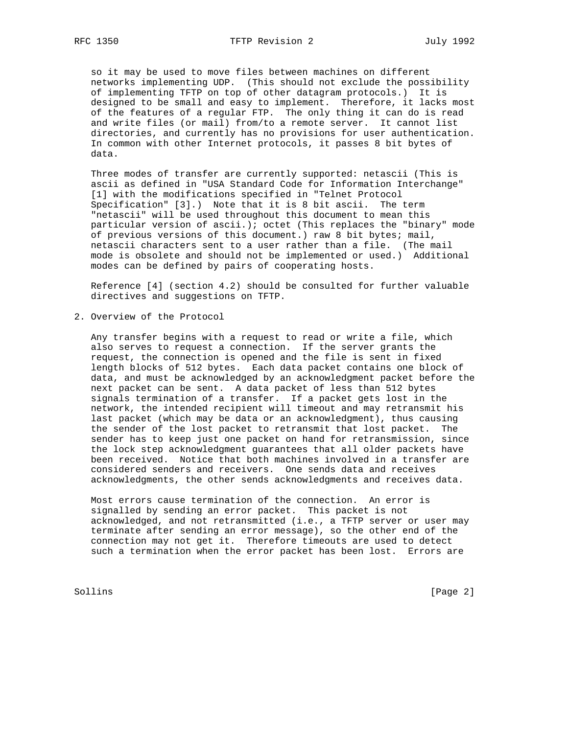so it may be used to move files between machines on different networks implementing UDP. (This should not exclude the possibility of implementing TFTP on top of other datagram protocols.) It is designed to be small and easy to implement. Therefore, it lacks most of the features of a regular FTP. The only thing it can do is read and write files (or mail) from/to a remote server. It cannot list directories, and currently has no provisions for user authentication. In common with other Internet protocols, it passes 8 bit bytes of data.

 Three modes of transfer are currently supported: netascii (This is ascii as defined in "USA Standard Code for Information Interchange" [1] with the modifications specified in "Telnet Protocol Specification" [3].) Note that it is 8 bit ascii. The term "netascii" will be used throughout this document to mean this particular version of ascii.); octet (This replaces the "binary" mode of previous versions of this document.) raw 8 bit bytes; mail, netascii characters sent to a user rather than a file. (The mail mode is obsolete and should not be implemented or used.) Additional modes can be defined by pairs of cooperating hosts.

 Reference [4] (section 4.2) should be consulted for further valuable directives and suggestions on TFTP.

2. Overview of the Protocol

 Any transfer begins with a request to read or write a file, which also serves to request a connection. If the server grants the request, the connection is opened and the file is sent in fixed length blocks of 512 bytes. Each data packet contains one block of data, and must be acknowledged by an acknowledgment packet before the next packet can be sent. A data packet of less than 512 bytes signals termination of a transfer. If a packet gets lost in the network, the intended recipient will timeout and may retransmit his last packet (which may be data or an acknowledgment), thus causing the sender of the lost packet to retransmit that lost packet. The sender has to keep just one packet on hand for retransmission, since the lock step acknowledgment guarantees that all older packets have been received. Notice that both machines involved in a transfer are considered senders and receivers. One sends data and receives acknowledgments, the other sends acknowledgments and receives data.

 Most errors cause termination of the connection. An error is signalled by sending an error packet. This packet is not acknowledged, and not retransmitted (i.e., a TFTP server or user may terminate after sending an error message), so the other end of the connection may not get it. Therefore timeouts are used to detect such a termination when the error packet has been lost. Errors are

Sollins [Page 2]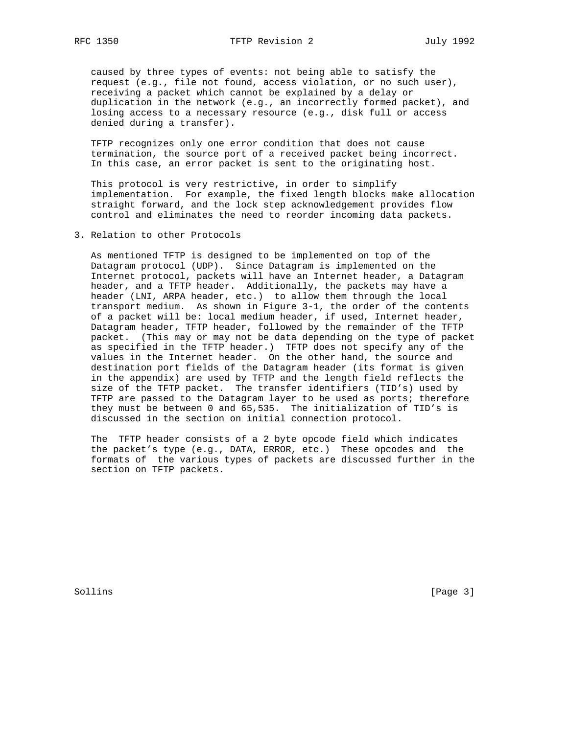caused by three types of events: not being able to satisfy the request (e.g., file not found, access violation, or no such user), receiving a packet which cannot be explained by a delay or duplication in the network (e.g., an incorrectly formed packet), and losing access to a necessary resource (e.g., disk full or access denied during a transfer).

 TFTP recognizes only one error condition that does not cause termination, the source port of a received packet being incorrect. In this case, an error packet is sent to the originating host.

 This protocol is very restrictive, in order to simplify implementation. For example, the fixed length blocks make allocation straight forward, and the lock step acknowledgement provides flow control and eliminates the need to reorder incoming data packets.

3. Relation to other Protocols

 As mentioned TFTP is designed to be implemented on top of the Datagram protocol (UDP). Since Datagram is implemented on the Internet protocol, packets will have an Internet header, a Datagram header, and a TFTP header. Additionally, the packets may have a header (LNI, ARPA header, etc.) to allow them through the local transport medium. As shown in Figure 3-1, the order of the contents of a packet will be: local medium header, if used, Internet header, Datagram header, TFTP header, followed by the remainder of the TFTP packet. (This may or may not be data depending on the type of packet as specified in the TFTP header.) TFTP does not specify any of the values in the Internet header. On the other hand, the source and destination port fields of the Datagram header (its format is given in the appendix) are used by TFTP and the length field reflects the size of the TFTP packet. The transfer identifiers (TID's) used by TFTP are passed to the Datagram layer to be used as ports; therefore they must be between 0 and 65,535. The initialization of TID's is discussed in the section on initial connection protocol.

 The TFTP header consists of a 2 byte opcode field which indicates the packet's type (e.g., DATA, ERROR, etc.) These opcodes and the formats of the various types of packets are discussed further in the section on TFTP packets.

Sollins [Page 3]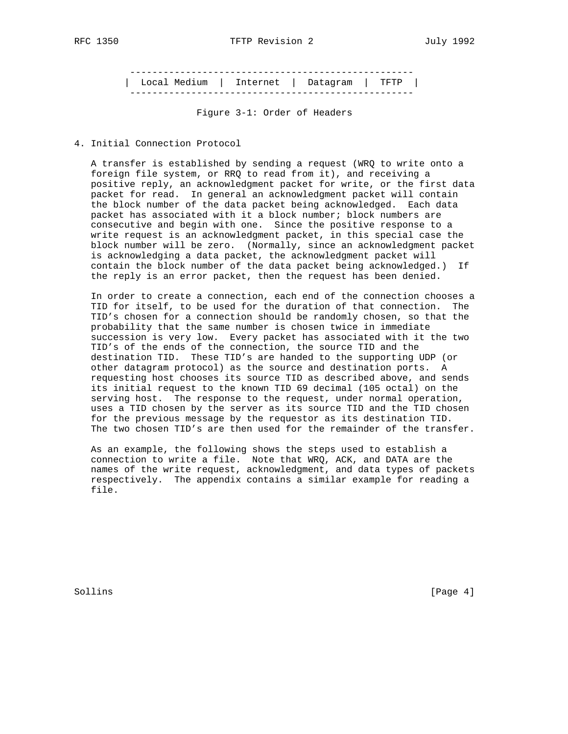--------------------------------------------------- | Local Medium | Internet | Datagram | TFTP | ---------------------------------------------------

Figure 3-1: Order of Headers

4. Initial Connection Protocol

 A transfer is established by sending a request (WRQ to write onto a foreign file system, or RRQ to read from it), and receiving a positive reply, an acknowledgment packet for write, or the first data packet for read. In general an acknowledgment packet will contain the block number of the data packet being acknowledged. Each data packet has associated with it a block number; block numbers are consecutive and begin with one. Since the positive response to a write request is an acknowledgment packet, in this special case the block number will be zero. (Normally, since an acknowledgment packet is acknowledging a data packet, the acknowledgment packet will contain the block number of the data packet being acknowledged.) If the reply is an error packet, then the request has been denied.

 In order to create a connection, each end of the connection chooses a TID for itself, to be used for the duration of that connection. The TID's chosen for a connection should be randomly chosen, so that the probability that the same number is chosen twice in immediate succession is very low. Every packet has associated with it the two TID's of the ends of the connection, the source TID and the destination TID. These TID's are handed to the supporting UDP (or other datagram protocol) as the source and destination ports. A requesting host chooses its source TID as described above, and sends its initial request to the known TID 69 decimal (105 octal) on the serving host. The response to the request, under normal operation, uses a TID chosen by the server as its source TID and the TID chosen for the previous message by the requestor as its destination TID. The two chosen TID's are then used for the remainder of the transfer.

 As an example, the following shows the steps used to establish a connection to write a file. Note that WRQ, ACK, and DATA are the names of the write request, acknowledgment, and data types of packets respectively. The appendix contains a similar example for reading a file.

Sollins [Page 4]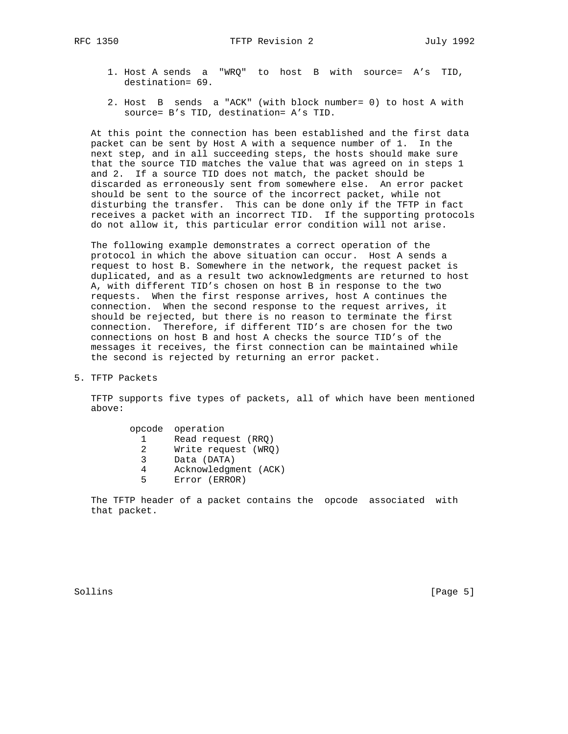- 1. Host A sends a "WRQ" to host B with source= A's TID, destination= 69.
- 2. Host B sends a "ACK" (with block number= 0) to host A with source= B's TID, destination= A's TID.

 At this point the connection has been established and the first data packet can be sent by Host A with a sequence number of 1. In the next step, and in all succeeding steps, the hosts should make sure that the source TID matches the value that was agreed on in steps 1 and 2. If a source TID does not match, the packet should be discarded as erroneously sent from somewhere else. An error packet should be sent to the source of the incorrect packet, while not disturbing the transfer. This can be done only if the TFTP in fact receives a packet with an incorrect TID. If the supporting protocols do not allow it, this particular error condition will not arise.

 The following example demonstrates a correct operation of the protocol in which the above situation can occur. Host A sends a request to host B. Somewhere in the network, the request packet is duplicated, and as a result two acknowledgments are returned to host A, with different TID's chosen on host B in response to the two requests. When the first response arrives, host A continues the connection. When the second response to the request arrives, it should be rejected, but there is no reason to terminate the first connection. Therefore, if different TID's are chosen for the two connections on host B and host A checks the source TID's of the messages it receives, the first connection can be maintained while the second is rejected by returning an error packet.

5. TFTP Packets

 TFTP supports five types of packets, all of which have been mentioned above:

|   | opcode operation     |
|---|----------------------|
|   | Read request (RRQ)   |
| 2 | Write request (WRO)  |
| ર | Data (DATA)          |
|   | Acknowledgment (ACK) |
| ᄃ | Error (ERROR)        |

 The TFTP header of a packet contains the opcode associated with that packet.

Sollins [Page 5]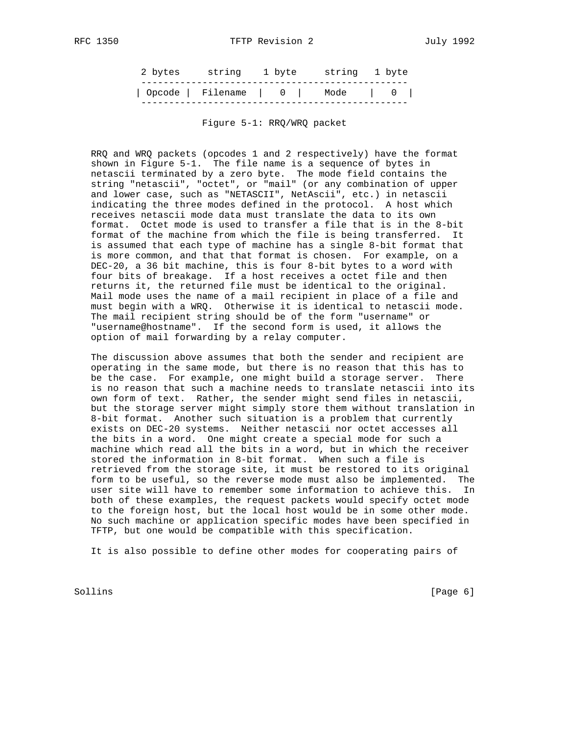| Opcode   Filename   0   Mode   0 |
|----------------------------------|

Figure 5-1: RRQ/WRQ packet

 RRQ and WRQ packets (opcodes 1 and 2 respectively) have the format shown in Figure 5-1. The file name is a sequence of bytes in netascii terminated by a zero byte. The mode field contains the string "netascii", "octet", or "mail" (or any combination of upper and lower case, such as "NETASCII", NetAscii", etc.) in netascii indicating the three modes defined in the protocol. A host which receives netascii mode data must translate the data to its own format. Octet mode is used to transfer a file that is in the 8-bit format of the machine from which the file is being transferred. It is assumed that each type of machine has a single 8-bit format that is more common, and that that format is chosen. For example, on a DEC-20, a 36 bit machine, this is four 8-bit bytes to a word with four bits of breakage. If a host receives a octet file and then returns it, the returned file must be identical to the original. Mail mode uses the name of a mail recipient in place of a file and must begin with a WRQ. Otherwise it is identical to netascii mode. The mail recipient string should be of the form "username" or "username@hostname". If the second form is used, it allows the option of mail forwarding by a relay computer.

 The discussion above assumes that both the sender and recipient are operating in the same mode, but there is no reason that this has to be the case. For example, one might build a storage server. There is no reason that such a machine needs to translate netascii into its own form of text. Rather, the sender might send files in netascii, but the storage server might simply store them without translation in 8-bit format. Another such situation is a problem that currently exists on DEC-20 systems. Neither netascii nor octet accesses all the bits in a word. One might create a special mode for such a machine which read all the bits in a word, but in which the receiver stored the information in 8-bit format. When such a file is retrieved from the storage site, it must be restored to its original form to be useful, so the reverse mode must also be implemented. The user site will have to remember some information to achieve this. In both of these examples, the request packets would specify octet mode to the foreign host, but the local host would be in some other mode. No such machine or application specific modes have been specified in TFTP, but one would be compatible with this specification.

It is also possible to define other modes for cooperating pairs of

Sollins [Page 6] [Page 6] [Page 6] [Page 6] [Page 6] [Page 6] [Page 6] [Page 6] [Page 6] [Page 6] [Page 6] [Page 6] [Page 6] [Page 6] [Page 6] [Page 6] [Page 6] [Page 6] [Page 6] [Page 6] [Page 6] [Page 6] [Page 6] [Page 6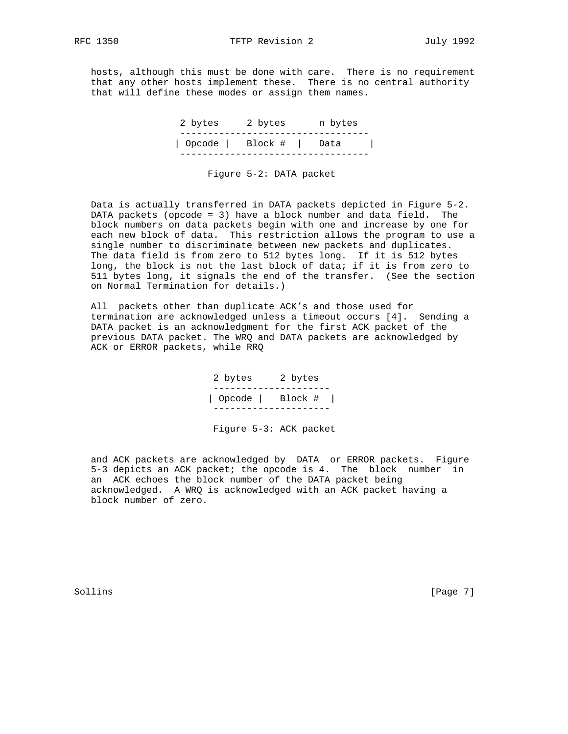hosts, although this must be done with care. There is no requirement that any other hosts implement these. There is no central authority that will define these modes or assign them names.

| Opcode   Block #   Data | 2 bytes | 2 bytes | n bytes |
|-------------------------|---------|---------|---------|
|                         |         |         |         |

Figure 5-2: DATA packet

 Data is actually transferred in DATA packets depicted in Figure 5-2. DATA packets (opcode = 3) have a block number and data field. The block numbers on data packets begin with one and increase by one for each new block of data. This restriction allows the program to use a single number to discriminate between new packets and duplicates. The data field is from zero to 512 bytes long. If it is 512 bytes long, the block is not the last block of data; if it is from zero to 511 bytes long, it signals the end of the transfer. (See the section on Normal Termination for details.)

 All packets other than duplicate ACK's and those used for termination are acknowledged unless a timeout occurs [4]. Sending a DATA packet is an acknowledgment for the first ACK packet of the previous DATA packet. The WRQ and DATA packets are acknowledged by ACK or ERROR packets, while RRQ

> 2 bytes 2 bytes --------------------- | Opcode | Block # | ---------------------

Figure 5-3: ACK packet

 and ACK packets are acknowledged by DATA or ERROR packets. Figure 5-3 depicts an ACK packet; the opcode is 4. The block number in an ACK echoes the block number of the DATA packet being acknowledged. A WRQ is acknowledged with an ACK packet having a block number of zero.

Sollins [Page 7]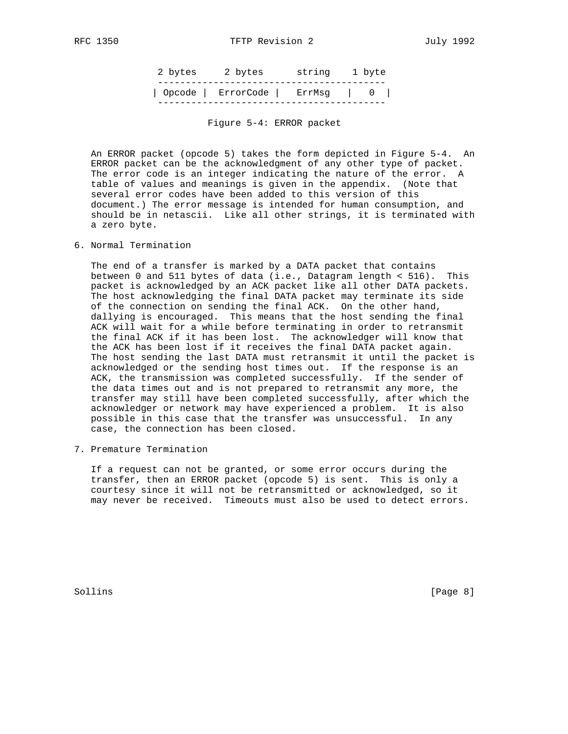|  | 2 bytes 2 bytes string 1 byte   |  |
|--|---------------------------------|--|
|  | Opcode   ErrorCode   ErrMsq   0 |  |

Figure 5-4: ERROR packet

 An ERROR packet (opcode 5) takes the form depicted in Figure 5-4. An ERROR packet can be the acknowledgment of any other type of packet. The error code is an integer indicating the nature of the error. A table of values and meanings is given in the appendix. (Note that several error codes have been added to this version of this document.) The error message is intended for human consumption, and should be in netascii. Like all other strings, it is terminated with a zero byte.

6. Normal Termination

 The end of a transfer is marked by a DATA packet that contains between 0 and 511 bytes of data (i.e., Datagram length < 516). This packet is acknowledged by an ACK packet like all other DATA packets. The host acknowledging the final DATA packet may terminate its side of the connection on sending the final ACK. On the other hand, dallying is encouraged. This means that the host sending the final ACK will wait for a while before terminating in order to retransmit the final ACK if it has been lost. The acknowledger will know that the ACK has been lost if it receives the final DATA packet again. The host sending the last DATA must retransmit it until the packet is acknowledged or the sending host times out. If the response is an ACK, the transmission was completed successfully. If the sender of the data times out and is not prepared to retransmit any more, the transfer may still have been completed successfully, after which the acknowledger or network may have experienced a problem. It is also possible in this case that the transfer was unsuccessful. In any case, the connection has been closed.

7. Premature Termination

 If a request can not be granted, or some error occurs during the transfer, then an ERROR packet (opcode 5) is sent. This is only a courtesy since it will not be retransmitted or acknowledged, so it may never be received. Timeouts must also be used to detect errors.

Sollins [Page 8]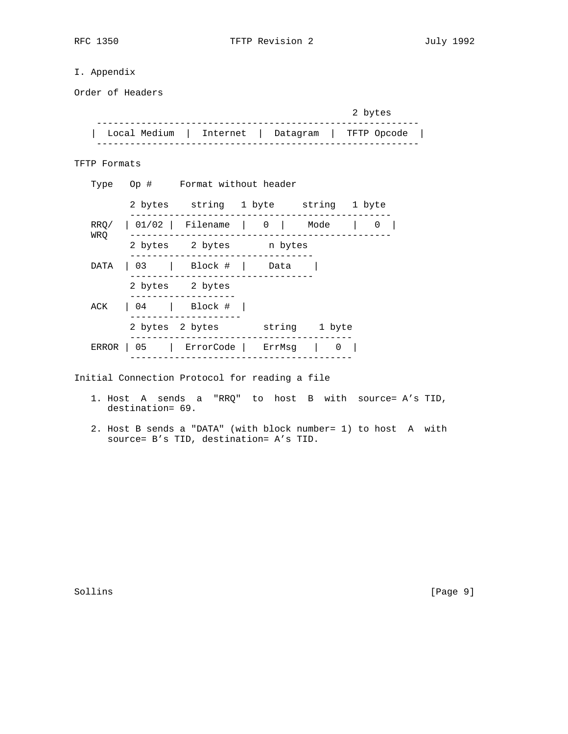# I. Appendix

Order of Headers

|                                                  | 2 bytes |
|--------------------------------------------------|---------|
| Local Medium   Internet   Datagram   TFTP Opcode |         |

TFTP Formats

|      | Type Op # Format without header                |  |  |  |
|------|------------------------------------------------|--|--|--|
|      | 2 bytes string 1 byte string 1 byte            |  |  |  |
|      | $RRQ /   01/02  $ Filename   0   Mode   0      |  |  |  |
| WRO  | 2 bytes 2 bytes n bytes                        |  |  |  |
| DATA | 03   Block #   Data                            |  |  |  |
|      | 2 bytes 2 bytes                                |  |  |  |
|      | ACK   04   Block #                             |  |  |  |
|      | 2 bytes 2 bytes string 1 byte                  |  |  |  |
|      | ERROR   05   ErrorCode   ErrMsg   0            |  |  |  |
|      | Initial Connection Protocol for reading a file |  |  |  |

- 1. Host A sends a "RRQ" to host B with source= A's TID, destination= 69.
- 2. Host B sends a "DATA" (with block number= 1) to host A with source= B's TID, destination= A's TID.

Sollins [Page 9]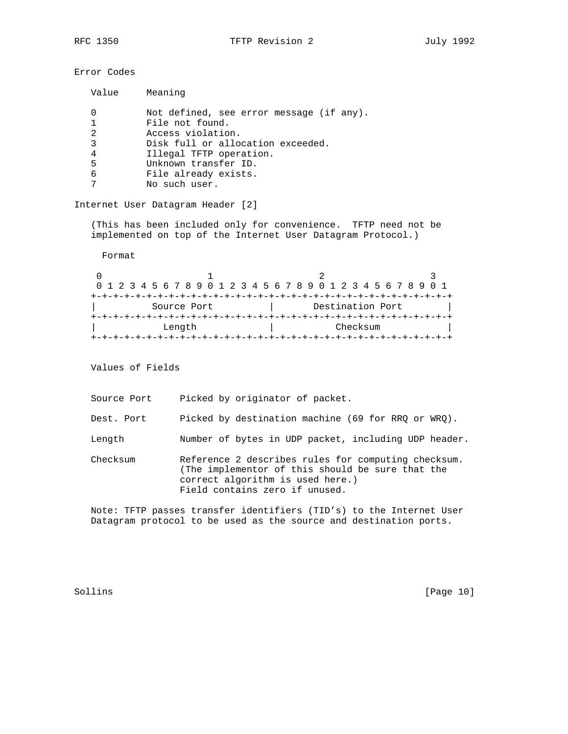Error Codes

| Value | Meaning                                  |
|-------|------------------------------------------|
| 0     | Not defined, see error message (if any). |
| 1     | File not found.                          |
| 2     | Access violation.                        |
| 3     | Disk full or allocation exceeded.        |
| 4     | Illegal TFTP operation.                  |
| 5     | Unknown transfer ID.                     |
| 6     | File already exists.                     |
| 7     | No such user.                            |

Internet User Datagram Header [2]

 (This has been included only for convenience. TFTP need not be implemented on top of the Internet User Datagram Protocol.)

Format

| 0 1 2 3 4 5 6 7 8 9 0 1 2 3 4 5 6 7 8 9 0 1 2 3 4 5 6 7 8 9 0 1 |  |  |  |  |  |  |  |  |                  |  |  |  |  |  |  |          |  |  |  |  |  |  |  |  |  |  |  |  |  |
|-----------------------------------------------------------------|--|--|--|--|--|--|--|--|------------------|--|--|--|--|--|--|----------|--|--|--|--|--|--|--|--|--|--|--|--|--|
|                                                                 |  |  |  |  |  |  |  |  |                  |  |  |  |  |  |  |          |  |  |  |  |  |  |  |  |  |  |  |  |  |
| Source Port                                                     |  |  |  |  |  |  |  |  | Destination Port |  |  |  |  |  |  |          |  |  |  |  |  |  |  |  |  |  |  |  |  |
| ---------------------------------                               |  |  |  |  |  |  |  |  |                  |  |  |  |  |  |  |          |  |  |  |  |  |  |  |  |  |  |  |  |  |
| Length                                                          |  |  |  |  |  |  |  |  |                  |  |  |  |  |  |  | Checksum |  |  |  |  |  |  |  |  |  |  |  |  |  |
|                                                                 |  |  |  |  |  |  |  |  |                  |  |  |  |  |  |  |          |  |  |  |  |  |  |  |  |  |  |  |  |  |

Values of Fields

Source Port Picked by originator of packet.

Dest. Port Picked by destination machine (69 for RRQ or WRQ).

Length Number of bytes in UDP packet, including UDP header.

 Checksum Reference 2 describes rules for computing checksum. (The implementor of this should be sure that the correct algorithm is used here.) Field contains zero if unused.

 Note: TFTP passes transfer identifiers (TID's) to the Internet User Datagram protocol to be used as the source and destination ports.

Sollins [Page 10]